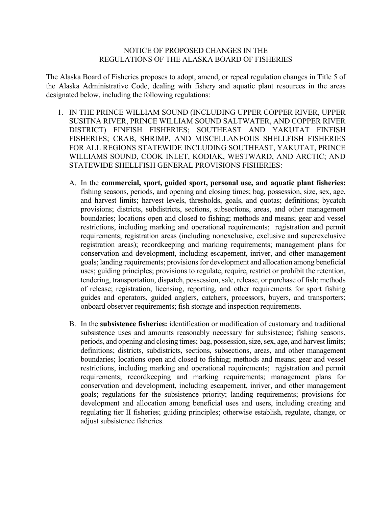#### NOTICE OF PROPOSED CHANGES IN THE REGULATIONS OF THE ALASKA BOARD OF FISHERIES

The Alaska Board of Fisheries proposes to adopt, amend, or repeal regulation changes in Title 5 of the Alaska Administrative Code, dealing with fishery and aquatic plant resources in the areas designated below, including the following regulations:

- 1. IN THE PRINCE WILLIAM SOUND (INCLUDING UPPER COPPER RIVER, UPPER SUSITNA RIVER, PRINCE WILLIAM SOUND SALTWATER, AND COPPER RIVER DISTRICT) FINFISH FISHERIES; SOUTHEAST AND YAKUTAT FINFISH FISHERIES; CRAB, SHRIMP, AND MISCELLANEOUS SHELLFISH FISHERIES FOR ALL REGIONS STATEWIDE INCLUDING SOUTHEAST, YAKUTAT, PRINCE WILLIAMS SOUND, COOK INLET, KODIAK, WESTWARD, AND ARCTIC; AND STATEWIDE SHELLFISH GENERAL PROVISIONS FISHERIES:
	- A. In the **commercial, sport, guided sport, personal use, and aquatic plant fisheries:**  fishing seasons, periods, and opening and closing times; bag, possession, size, sex, age, and harvest limits; harvest levels, thresholds, goals, and quotas; definitions; bycatch provisions; districts, subdistricts, sections, subsections, areas, and other management boundaries; locations open and closed to fishing; methods and means; gear and vessel restrictions, including marking and operational requirements; registration and permit requirements; registration areas (including nonexclusive, exclusive and superexclusive registration areas); recordkeeping and marking requirements; management plans for conservation and development, including escapement, inriver, and other management goals; landing requirements; provisions for development and allocation among beneficial uses; guiding principles; provisions to regulate, require, restrict or prohibit the retention, tendering, transportation, dispatch, possession, sale, release, or purchase of fish; methods of release; registration, licensing, reporting, and other requirements for sport fishing guides and operators, guided anglers, catchers, processors, buyers, and transporters; onboard observer requirements; fish storage and inspection requirements.
	- B. In the **subsistence fisheries:** identification or modification of customary and traditional subsistence uses and amounts reasonably necessary for subsistence; fishing seasons, periods, and opening and closing times; bag, possession, size, sex, age, and harvest limits; definitions; districts, subdistricts, sections, subsections, areas, and other management boundaries; locations open and closed to fishing; methods and means; gear and vessel restrictions, including marking and operational requirements; registration and permit requirements; recordkeeping and marking requirements; management plans for conservation and development, including escapement, inriver, and other management goals; regulations for the subsistence priority; landing requirements; provisions for development and allocation among beneficial uses and users, including creating and regulating tier II fisheries; guiding principles; otherwise establish, regulate, change, or adjust subsistence fisheries.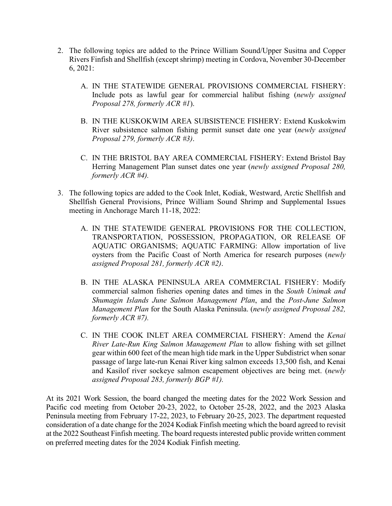- 2. The following topics are added to the Prince William Sound/Upper Susitna and Copper Rivers Finfish and Shellfish (except shrimp) meeting in Cordova, November 30-December 6, 2021:
	- A. IN THE STATEWIDE GENERAL PROVISIONS COMMERCIAL FISHERY: Include pots as lawful gear for commercial halibut fishing (*newly assigned Proposal 278, formerly ACR #1*).
	- B. IN THE KUSKOKWIM AREA SUBSISTENCE FISHERY: Extend Kuskokwim River subsistence salmon fishing permit sunset date one year (*newly assigned Proposal 279, formerly ACR #3)*.
	- C. IN THE BRISTOL BAY AREA COMMERCIAL FISHERY: Extend Bristol Bay Herring Management Plan sunset dates one year (*newly assigned Proposal 280, formerly ACR #4).*
- 3. The following topics are added to the Cook Inlet, Kodiak, Westward, Arctic Shellfish and Shellfish General Provisions, Prince William Sound Shrimp and Supplemental Issues meeting in Anchorage March 11-18, 2022:
	- A. IN THE STATEWIDE GENERAL PROVISIONS FOR THE COLLECTION, TRANSPORTATION, POSSESSION, PROPAGATION, OR RELEASE OF AQUATIC ORGANISMS; AQUATIC FARMING: Allow importation of live oysters from the Pacific Coast of North America for research purposes (*newly assigned Proposal 281, formerly ACR #2)*.
	- B. IN THE ALASKA PENINSULA AREA COMMERCIAL FISHERY: Modify commercial salmon fisheries opening dates and times in the *South Unimak and Shumagin Islands June Salmon Management Plan*, and the *Post-June Salmon Management Plan* for the South Alaska Peninsula. (*newly assigned Proposal 282, formerly ACR #7).*
	- C. IN THE COOK INLET AREA COMMERCIAL FISHERY: Amend the *Kenai River Late-Run King Salmon Management Plan* to allow fishing with set gillnet gear within 600 feet of the mean high tide mark in the Upper Subdistrict when sonar passage of large late-run Kenai River king salmon exceeds 13,500 fish, and Kenai and Kasilof river sockeye salmon escapement objectives are being met. (*newly assigned Proposal 283, formerly BGP #1).*

At its 2021 Work Session, the board changed the meeting dates for the 2022 Work Session and Pacific cod meeting from October 20-23, 2022, to October 25-28, 2022, and the 2023 Alaska Peninsula meeting from February 17-22, 2023, to February 20-25, 2023. The department requested consideration of a date change for the 2024 Kodiak Finfish meeting which the board agreed to revisit at the 2022 Southeast Finfish meeting. The board requests interested public provide written comment on preferred meeting dates for the 2024 Kodiak Finfish meeting.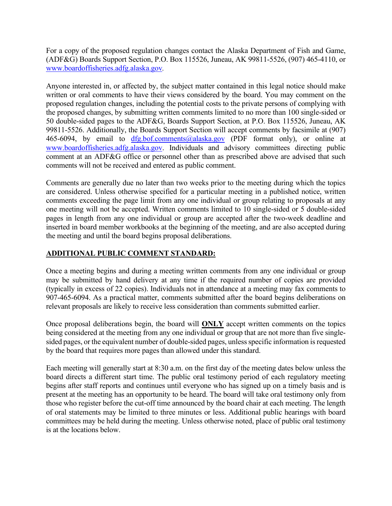For a copy of the proposed regulation changes contact the Alaska Department of Fish and Game, (ADF&G) Boards Support Section, P.O. Box 115526, Juneau, AK 99811-5526, (907) 465-4110, or [www.boardoffisheries.adfg.alaska.gov](http://www.boardoffisheries.adfg.alaska.gov/)*.*

Anyone interested in, or affected by, the subject matter contained in this legal notice should make written or oral comments to have their views considered by the board. You may comment on the proposed regulation changes, including the potential costs to the private persons of complying with the proposed changes, by submitting written comments limited to no more than 100 single-sided or 50 double-sided pages to the ADF&G, Boards Support Section, at P.O. Box 115526, Juneau, AK 99811-5526. Additionally, the Boards Support Section will accept comments by facsimile at (907) 465-6094, by email to [dfg.bof.comments@alaska.gov](mailto:dfg.bof.comments@alaska.gov) (PDF format only), or online at [www.boardoffisheries.adfg.alaska.gov.](http://www.boardoffisheries.adfg.alaska.gov/) Individuals and advisory committees directing public comment at an ADF&G office or personnel other than as prescribed above are advised that such comments will not be received and entered as public comment.

Comments are generally due no later than two weeks prior to the meeting during which the topics are considered. Unless otherwise specified for a particular meeting in a published notice, written comments exceeding the page limit from any one individual or group relating to proposals at any one meeting will not be accepted. Written comments limited to 10 single-sided or 5 double-sided pages in length from any one individual or group are accepted after the two-week deadline and inserted in board member workbooks at the beginning of the meeting, and are also accepted during the meeting and until the board begins proposal deliberations.

## **ADDITIONAL PUBLIC COMMENT STANDARD:**

Once a meeting begins and during a meeting written comments from any one individual or group may be submitted by hand delivery at any time if the required number of copies are provided (typically in excess of 22 copies). Individuals not in attendance at a meeting may fax comments to 907-465-6094. As a practical matter, comments submitted after the board begins deliberations on relevant proposals are likely to receive less consideration than comments submitted earlier.

Once proposal deliberations begin, the board will **ONLY** accept written comments on the topics being considered at the meeting from any one individual or group that are not more than five singlesided pages, or the equivalent number of double-sided pages, unless specific information is requested by the board that requires more pages than allowed under this standard.

Each meeting will generally start at 8:30 a.m. on the first day of the meeting dates below unless the board directs a different start time. The public oral testimony period of each regulatory meeting begins after staff reports and continues until everyone who has signed up on a timely basis and is present at the meeting has an opportunity to be heard. The board will take oral testimony only from those who register before the cut-off time announced by the board chair at each meeting. The length of oral statements may be limited to three minutes or less. Additional public hearings with board committees may be held during the meeting. Unless otherwise noted, place of public oral testimony is at the locations below.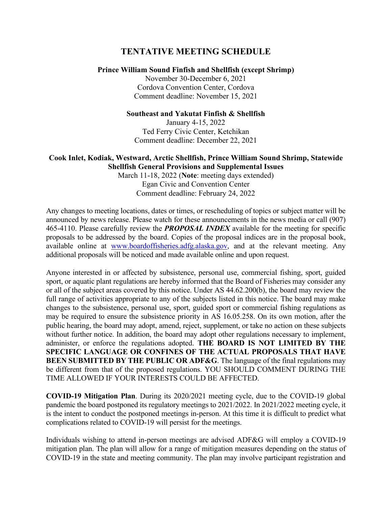# **TENTATIVE MEETING SCHEDULE**

#### **Prince William Sound Finfish and Shellfish (except Shrimp)**

November 30-December 6, 2021 Cordova Convention Center, Cordova Comment deadline: November 15, 2021

#### **Southeast and Yakutat Finfish & Shellfish**

January 4-15, 2022 Ted Ferry Civic Center, Ketchikan Comment deadline: December 22, 2021

### **Cook Inlet, Kodiak, Westward, Arctic Shellfish, Prince William Sound Shrimp, Statewide Shellfish General Provisions and Supplemental Issues**

March 11-18, 2022 (**Note**: meeting days extended) Egan Civic and Convention Center Comment deadline: February 24, 2022

Any changes to meeting locations, dates or times, or rescheduling of topics or subject matter will be announced by news release. Please watch for these announcements in the news media or call (907) 465-4110. Please carefully review the *PROPOSAL INDEX* available for the meeting for specific proposals to be addressed by the board. Copies of the proposal indices are in the proposal book, available online at [www.boardoffisheries.adfg.alaska.gov,](http://www.boardoffisheries.adfg.alaska.gov/) and at the relevant meeting. Any additional proposals will be noticed and made available online and upon request.

Anyone interested in or affected by subsistence, personal use, commercial fishing, sport, guided sport, or aquatic plant regulations are hereby informed that the Board of Fisheries may consider any or all of the subject areas covered by this notice. Under AS 44.62.200(b), the board may review the full range of activities appropriate to any of the subjects listed in this notice. The board may make changes to the subsistence, personal use, sport, guided sport or commercial fishing regulations as may be required to ensure the subsistence priority in AS 16.05.258. On its own motion, after the public hearing, the board may adopt, amend, reject, supplement, or take no action on these subjects without further notice. In addition, the board may adopt other regulations necessary to implement, administer, or enforce the regulations adopted. **THE BOARD IS NOT LIMITED BY THE SPECIFIC LANGUAGE OR CONFINES OF THE ACTUAL PROPOSALS THAT HAVE BEEN SUBMITTED BY THE PUBLIC OR ADF&G**. The language of the final regulations may be different from that of the proposed regulations. YOU SHOULD COMMENT DURING THE TIME ALLOWED IF YOUR INTERESTS COULD BE AFFECTED.

**COVID-19 Mitigation Plan**. During its 2020/2021 meeting cycle, due to the COVID-19 global pandemic the board postponed its regulatory meetings to 2021/2022. In 2021/2022 meeting cycle, it is the intent to conduct the postponed meetings in-person. At this time it is difficult to predict what complications related to COVID-19 will persist for the meetings.

Individuals wishing to attend in-person meetings are advised ADF&G will employ a COVID-19 mitigation plan. The plan will allow for a range of mitigation measures depending on the status of COVID-19 in the state and meeting community. The plan may involve participant registration and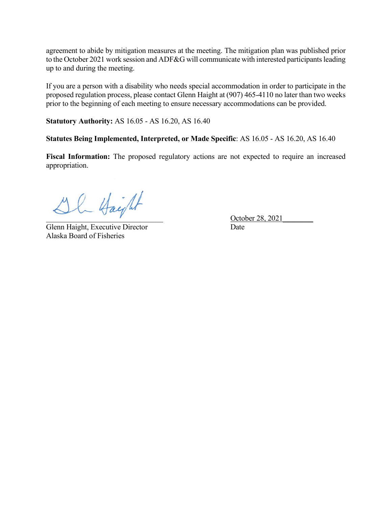agreement to abide by mitigation measures at the meeting. The mitigation plan was published prior to the October 2021 work session and ADF&G will communicate with interested participants leading up to and during the meeting.

If you are a person with a disability who needs special accommodation in order to participate in the proposed regulation process, please contact Glenn Haight at (907) 465-4110 no later than two weeks prior to the beginning of each meeting to ensure necessary accommodations can be provided.

**Statutory Authority:** AS 16.05 - AS 16.20, AS 16.40

**Statutes Being Implemented, Interpreted, or Made Specific**: AS 16.05 - AS 16.20, AS 16.40

**Fiscal Information:** The proposed regulatory actions are not expected to require an increased appropriation.

 $PL$  Haight  $October 28, 2021$ 

Glenn Haight, Executive Director Date Alaska Board of Fisheries